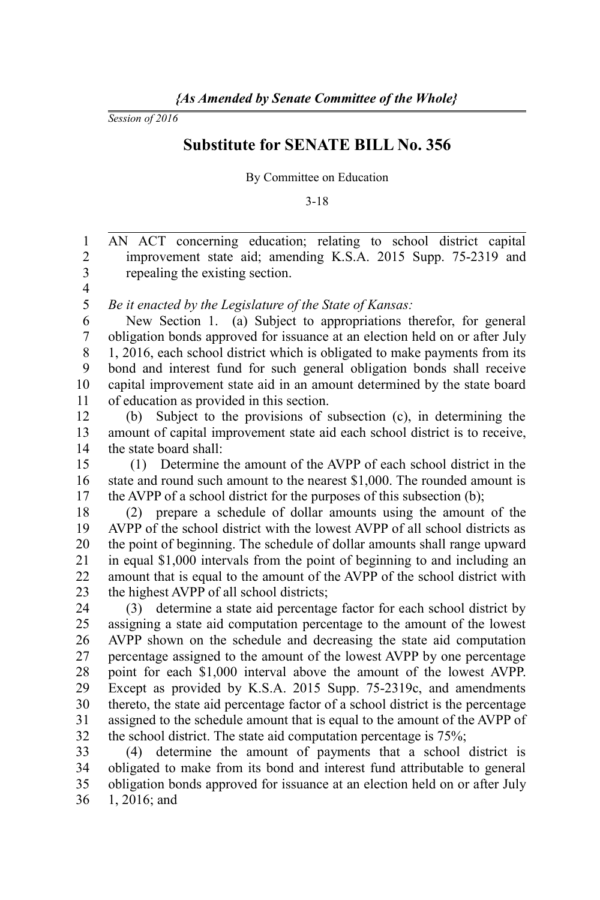*Session of 2016*

## **Substitute for SENATE BILL No. 356**

By Committee on Education

3-18

AN ACT concerning education; relating to school district capital improvement state aid; amending K.S.A. 2015 Supp. 75-2319 and repealing the existing section. 1 2 3

4

*Be it enacted by the Legislature of the State of Kansas:* 5

New Section 1. (a) Subject to appropriations therefor, for general obligation bonds approved for issuance at an election held on or after July 1, 2016, each school district which is obligated to make payments from its bond and interest fund for such general obligation bonds shall receive capital improvement state aid in an amount determined by the state board of education as provided in this section. 6 7 8 9 10 11

(b) Subject to the provisions of subsection (c), in determining the amount of capital improvement state aid each school district is to receive, the state board shall: 12 13 14

 (1) Determine the amount of the AVPP of each school district in the state and round such amount to the nearest \$1,000. The rounded amount is the AVPP of a school district for the purposes of this subsection (b); 15 16 17

(2) prepare a schedule of dollar amounts using the amount of the AVPP of the school district with the lowest AVPP of all school districts as the point of beginning. The schedule of dollar amounts shall range upward in equal \$1,000 intervals from the point of beginning to and including an amount that is equal to the amount of the AVPP of the school district with the highest AVPP of all school districts; 18 19 20 21 22 23

(3) determine a state aid percentage factor for each school district by assigning a state aid computation percentage to the amount of the lowest AVPP shown on the schedule and decreasing the state aid computation percentage assigned to the amount of the lowest AVPP by one percentage point for each \$1,000 interval above the amount of the lowest AVPP. Except as provided by K.S.A. 2015 Supp. 75-2319c, and amendments thereto, the state aid percentage factor of a school district is the percentage assigned to the schedule amount that is equal to the amount of the AVPP of the school district. The state aid computation percentage is 75%; 24 25 26 27 28 29 30 31 32

(4) determine the amount of payments that a school district is obligated to make from its bond and interest fund attributable to general obligation bonds approved for issuance at an election held on or after July 1, 2016; and 33 34 35 36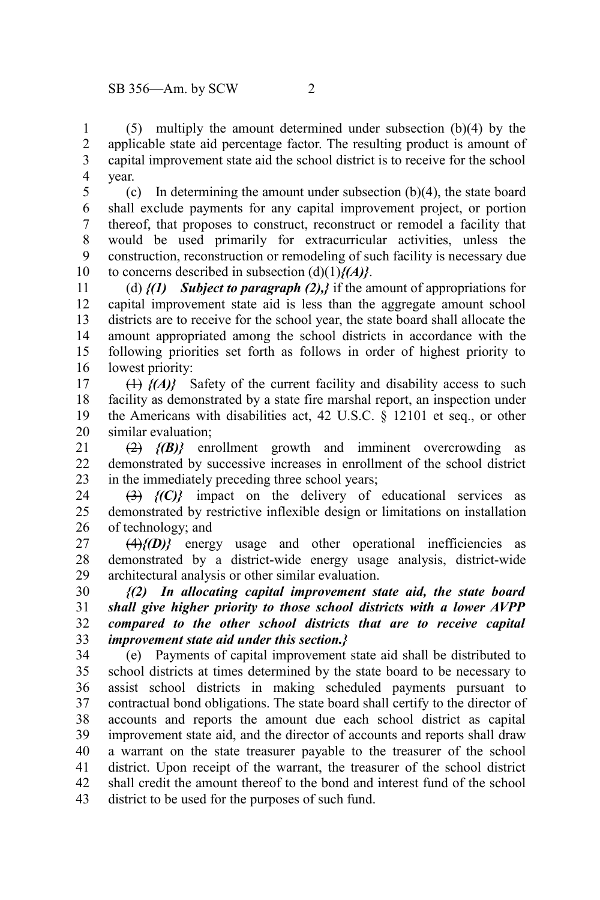(5) multiply the amount determined under subsection (b)(4) by the applicable state aid percentage factor. The resulting product is amount of capital improvement state aid the school district is to receive for the school year. 1 2 3 4

(c) In determining the amount under subsection (b)(4), the state board shall exclude payments for any capital improvement project, or portion thereof, that proposes to construct, reconstruct or remodel a facility that would be used primarily for extracurricular activities, unless the construction, reconstruction or remodeling of such facility is necessary due to concerns described in subsection (d)(1)*{(A)}*. 5 6 7 8 9 10

(d) *{(1) Subject to paragraph (2),}* if the amount of appropriations for capital improvement state aid is less than the aggregate amount school districts are to receive for the school year, the state board shall allocate the amount appropriated among the school districts in accordance with the following priorities set forth as follows in order of highest priority to lowest priority: 11 12 13 14 15 16

(1) *{(A)}* Safety of the current facility and disability access to such facility as demonstrated by a state fire marshal report, an inspection under the Americans with disabilities act, 42 U.S.C. § 12101 et seq., or other similar evaluation; 17 18 19 20

(2) *{(B)}* enrollment growth and imminent overcrowding as demonstrated by successive increases in enrollment of the school district in the immediately preceding three school years; 21  $22$ 23

(3) *{(C)}* impact on the delivery of educational services as demonstrated by restrictive inflexible design or limitations on installation of technology; and 24 25 26

 $\left\langle \frac{4}{7} f(D) \right\rangle$  energy usage and other operational inefficiencies as demonstrated by a district-wide energy usage analysis, district-wide architectural analysis or other similar evaluation. 27 28 29

*{(2) In allocating capital improvement state aid, the state board shall give higher priority to those school districts with a lower AVPP compared to the other school districts that are to receive capital improvement state aid under this section.}* 30 31 32 33

(e) Payments of capital improvement state aid shall be distributed to school districts at times determined by the state board to be necessary to assist school districts in making scheduled payments pursuant to contractual bond obligations. The state board shall certify to the director of accounts and reports the amount due each school district as capital improvement state aid, and the director of accounts and reports shall draw a warrant on the state treasurer payable to the treasurer of the school district. Upon receipt of the warrant, the treasurer of the school district shall credit the amount thereof to the bond and interest fund of the school district to be used for the purposes of such fund. 34 35 36 37 38 39 40 41 42 43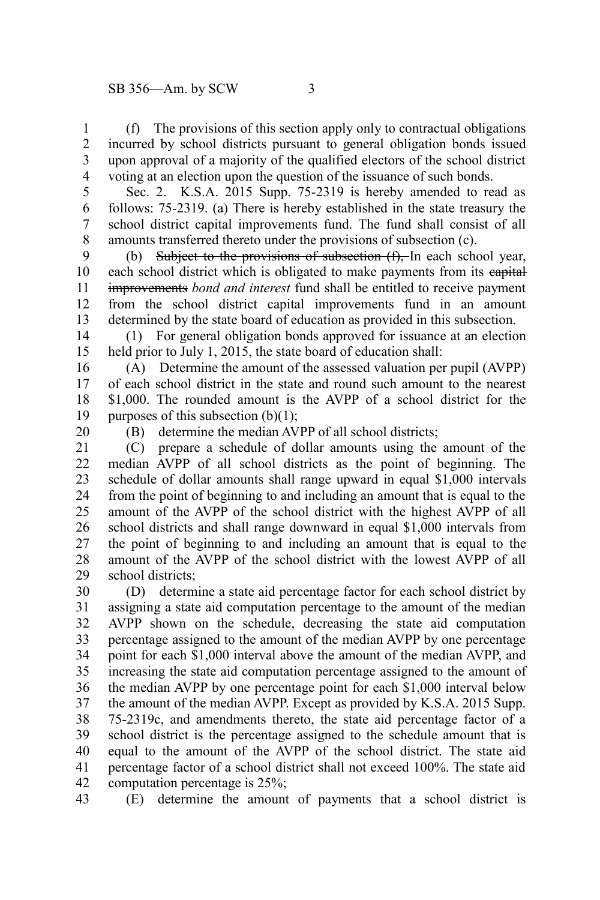(f) The provisions of this section apply only to contractual obligations incurred by school districts pursuant to general obligation bonds issued upon approval of a majority of the qualified electors of the school district voting at an election upon the question of the issuance of such bonds. 1 2 3 4

Sec. 2. K.S.A. 2015 Supp. 75-2319 is hereby amended to read as follows: 75-2319. (a) There is hereby established in the state treasury the school district capital improvements fund. The fund shall consist of all amounts transferred thereto under the provisions of subsection (c). 5 6 7 8

(b) Subject to the provisions of subsection  $(f)$ , In each school year, each school district which is obligated to make payments from its eapital improvements *bond and interest* fund shall be entitled to receive payment from the school district capital improvements fund in an amount determined by the state board of education as provided in this subsection. 9 10 11 12 13

(1) For general obligation bonds approved for issuance at an election held prior to July 1, 2015, the state board of education shall: 14 15

(A) Determine the amount of the assessed valuation per pupil (AVPP) of each school district in the state and round such amount to the nearest \$1,000. The rounded amount is the AVPP of a school district for the purposes of this subsection (b)(1); 16 17 18 19

20

(B) determine the median AVPP of all school districts;

(C) prepare a schedule of dollar amounts using the amount of the median AVPP of all school districts as the point of beginning. The schedule of dollar amounts shall range upward in equal \$1,000 intervals from the point of beginning to and including an amount that is equal to the amount of the AVPP of the school district with the highest AVPP of all school districts and shall range downward in equal \$1,000 intervals from the point of beginning to and including an amount that is equal to the amount of the AVPP of the school district with the lowest AVPP of all school districts; 21 22 23 24 25 26 27 28 29

(D) determine a state aid percentage factor for each school district by assigning a state aid computation percentage to the amount of the median AVPP shown on the schedule, decreasing the state aid computation percentage assigned to the amount of the median AVPP by one percentage point for each \$1,000 interval above the amount of the median AVPP, and increasing the state aid computation percentage assigned to the amount of the median AVPP by one percentage point for each \$1,000 interval below the amount of the median AVPP. Except as provided by K.S.A. 2015 Supp. 75-2319c, and amendments thereto, the state aid percentage factor of a school district is the percentage assigned to the schedule amount that is equal to the amount of the AVPP of the school district. The state aid percentage factor of a school district shall not exceed 100%. The state aid computation percentage is 25%; 30 31 32 33 34 35 36 37 38 39 40 41 42

(E) determine the amount of payments that a school district is 43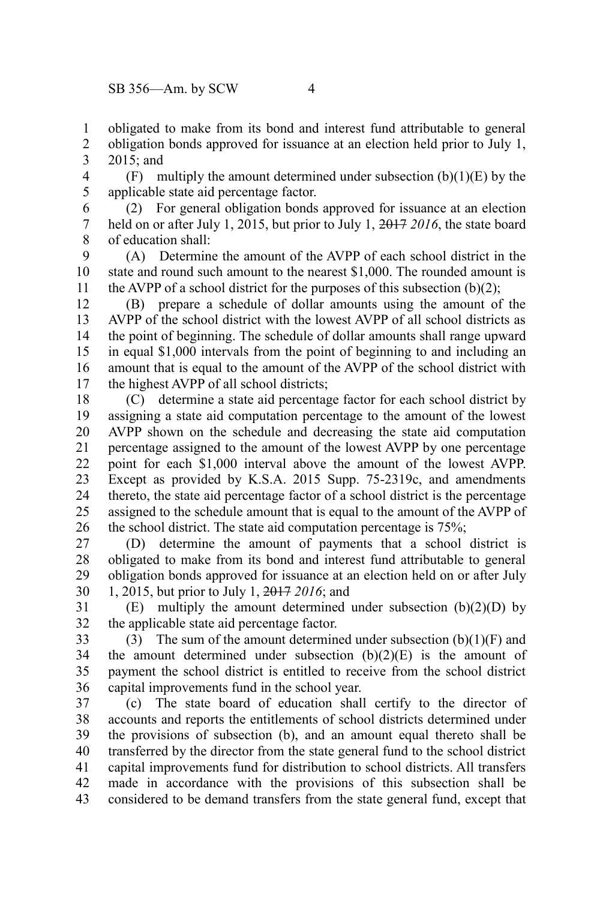obligated to make from its bond and interest fund attributable to general 1

obligation bonds approved for issuance at an election held prior to July 1, 2015; and 2 3

(F) multiply the amount determined under subsection  $(b)(1)(E)$  by the applicable state aid percentage factor. 4 5

(2) For general obligation bonds approved for issuance at an election held on or after July 1, 2015, but prior to July 1, 2017 *2016*, the state board of education shall: 6 7 8

(A) Determine the amount of the AVPP of each school district in the state and round such amount to the nearest \$1,000. The rounded amount is the AVPP of a school district for the purposes of this subsection  $(b)(2)$ ; 9 10 11

(B) prepare a schedule of dollar amounts using the amount of the AVPP of the school district with the lowest AVPP of all school districts as the point of beginning. The schedule of dollar amounts shall range upward in equal \$1,000 intervals from the point of beginning to and including an amount that is equal to the amount of the AVPP of the school district with the highest AVPP of all school districts; 12 13 14 15 16 17

(C) determine a state aid percentage factor for each school district by assigning a state aid computation percentage to the amount of the lowest AVPP shown on the schedule and decreasing the state aid computation percentage assigned to the amount of the lowest AVPP by one percentage point for each \$1,000 interval above the amount of the lowest AVPP. Except as provided by K.S.A. 2015 Supp. 75-2319c, and amendments thereto, the state aid percentage factor of a school district is the percentage assigned to the schedule amount that is equal to the amount of the AVPP of the school district. The state aid computation percentage is 75%; 18 19 20 21 22 23 24 25 26

(D) determine the amount of payments that a school district is obligated to make from its bond and interest fund attributable to general obligation bonds approved for issuance at an election held on or after July 1, 2015, but prior to July 1, 2017 *2016*; and 27 28 29 30

 $(E)$  multiply the amount determined under subsection  $(b)(2)(D)$  by the applicable state aid percentage factor. 31 32

(3) The sum of the amount determined under subsection  $(b)(1)(F)$  and the amount determined under subsection  $(b)(2)(E)$  is the amount of payment the school district is entitled to receive from the school district capital improvements fund in the school year. 33 34 35 36

(c) The state board of education shall certify to the director of accounts and reports the entitlements of school districts determined under the provisions of subsection (b), and an amount equal thereto shall be transferred by the director from the state general fund to the school district capital improvements fund for distribution to school districts. All transfers made in accordance with the provisions of this subsection shall be considered to be demand transfers from the state general fund, except that 37 38 39 40 41 42 43